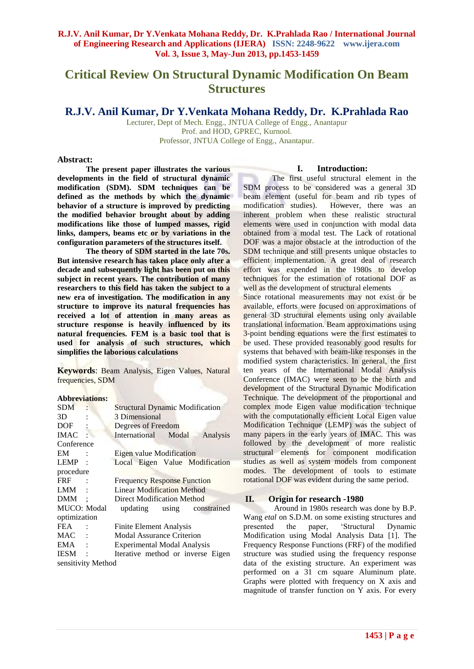# **Critical Review On Structural Dynamic Modification On Beam Structures**

**R.J.V. Anil Kumar, Dr Y.Venkata Mohana Reddy, Dr. K.Prahlada Rao**

Lecturer, Dept of Mech. Engg., JNTUA College of Engg., Anantapur Prof. and HOD, GPREC, Kurnool. Professor, JNTUA College of Engg., Anantapur.

#### **Abstract:**

**The present paper illustrates the various developments in the field of structural dynamic modification (SDM). SDM techniques can be defined as the methods by which the dynamic behavior of a structure is improved by predicting the modified behavior brought about by adding modifications like those of lumped masses, rigid**  links, dampers, beams etc or by variations in the **configuration parameters of the structures itself.**

**The theory of SDM started in the late 70s. But intensive research has taken place only after a decade and subsequently light has been put on this subject in recent years. The contribution of many researchers to this field has taken the subject to a new era of investigation. The modification in any structure to improve its natural frequencies has received a lot of attention in many areas as structure response is heavily influenced by its natural frequencies. FEM is a basic tool that is used for analysis of such structures, which simplifies the laborious calculations**

**Keywords**: Beam Analysis, Eigen Values, Natural frequencies, SDM

#### **Abbreviations:**

| $SDM$ :             |                | <b>Structural Dynamic Modification</b> |  |  |  |                            |
|---------------------|----------------|----------------------------------------|--|--|--|----------------------------|
| 3D                  |                | 3 Dimensional                          |  |  |  |                            |
| DOF                 |                | Degrees of Freedom                     |  |  |  |                            |
| $IMAC$ :            |                | International Modal                    |  |  |  | Analysis                   |
| Conference          |                |                                        |  |  |  |                            |
| EM                  |                | Eigen value Modification               |  |  |  |                            |
| <b>LEMP</b>         |                | Local Eigen Value Modification         |  |  |  |                            |
| procedure           |                |                                        |  |  |  |                            |
| <b>FRF</b>          |                | <b>Frequency Response Function</b>     |  |  |  |                            |
| LMM                 |                | <b>Linear Modification Method</b>      |  |  |  |                            |
| <b>DMM</b>          | $\ddot{\cdot}$ | <b>Direct Modification Method</b>      |  |  |  |                            |
| <b>MUCO</b> : Modal |                |                                        |  |  |  | updating using constrained |
| optimization        |                |                                        |  |  |  |                            |
| FEA.                |                | Finite Element Analysis                |  |  |  |                            |
| MAC :               |                | <b>Modal Assurance Criterion</b>       |  |  |  |                            |
| EMA                 |                | <b>Experimental Modal Analysis</b>     |  |  |  |                            |
| <b>IESM</b>         |                | Iterative method or inverse Eigen      |  |  |  |                            |
| sensitivity Method  |                |                                        |  |  |  |                            |

#### **I. Introduction:**

The first useful structural element in the SDM process to be considered was a general 3D beam element (useful for beam and rib types of modification studies). However, there was an However, there was an inherent problem when these realistic structural elements were used in conjunction with modal data obtained from a modal test. The Lack of rotational DOF was a major obstacle at the introduction of the SDM technique and still presents unique obstacles to efficient implementation. A great deal of research effort was expended in the 1980s to develop techniques for the estimation of rotational DOF as well as the development of structural elements

Since rotational measurements may not exist or be available, efforts were focused on approximations of general 3D structural elements using only available translational information. Beam approximations using 3-point bending equations were the first estimates to be used. These provided reasonably good results for systems that behaved with beam-like responses in the modified system characteristics. In general, the first ten years of the International Modal Analysis Conference (IMAC) were seen to be the birth and development of the Structural Dynamic Modification Technique. The development of the proportional and complex mode Eigen value modification technique with the computationally efficient Local Eigen value Modification Technique (LEMP) was the subject of many papers in the early years of IMAC. This was followed by the development of more realistic structural elements for component modification studies as well as system models from component modes. The development of tools to estimate rotational DOF was evident during the same period.

#### **II. Origin for research -1980**

Around in 1980s research was done by B.P. Wang *etal* on S.D.M. on some existing structures and presented the paper, 'Structural Dynamic Modification using Modal Analysis Data [1]. The Frequency Response Functions (FRF) of the modified structure was studied using the frequency response data of the existing structure. An experiment was performed on a 31 cm square Aluminum plate. Graphs were plotted with frequency on X axis and magnitude of transfer function on Y axis. For every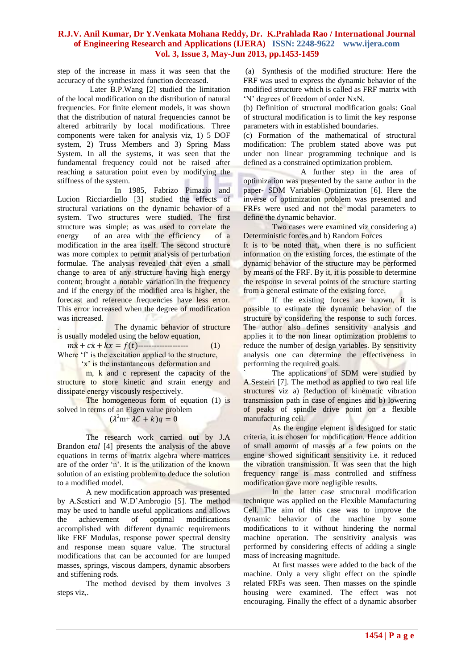step of the increase in mass it was seen that the accuracy of the synthesized function decreased.

 Later B.P.Wang [2] studied the limitation of the local modification on the distribution of natural frequencies. For finite element models, it was shown that the distribution of natural frequencies cannot be altered arbitrarily by local modifications. Three components were taken for analysis viz, 1) 5 DOF system, 2) Truss Members and 3) Spring Mass System. In all the systems, it was seen that the fundamental frequency could not be raised after reaching a saturation point even by modifying the stiffness of the system.

In 1985, Fabrizo Pimazio and Lucion Ricciardiello [3] studied the effects of structural variations on the dynamic behavior of a system. Two structures were studied. The first structure was simple; as was used to correlate the energy of an area with the efficiency of a modification in the area itself. The second structure was more complex to permit analysis of perturbation formulae. The analysis revealed that even a small change to area of any structure having high energy content; brought a notable variation in the frequency and if the energy of the modified area is higher, the forecast and reference frequencies have less error. This error increased when the degree of modification was increased.

The dynamic behavior of structure is usually modeled using the below equation,

 $m\ddot{x} + c\dot{x} + kx = f(t)$ ----------------------------- (1) Where 'f' is the excitation applied to the structure,

'x' is the instantaneous deformation and

m, k and c represent the capacity of the structure to store kinetic and strain energy and dissipate energy viscously respectively.

The homogeneous form of equation (1) is solved in terms of an Eigen value problem

$$
(\lambda^2 m + \lambda C + k)q = 0
$$

The research work carried out by J.A Brandon *etal* [4] presents the analysis of the above equations in terms of matrix algebra where matrices are of the order 'n'. It is the utilization of the known solution of an existing problem to deduce the solution to a modified model.

A new modification approach was presented by A.Sestieri and W.D'Ambrogio [5]. The method may be used to handle useful applications and allows the achievement of optimal modifications accomplished with different dynamic requirements like FRF Modulas, response power spectral density and response mean square value. The structural modifications that can be accounted for are lumped masses, springs, viscous dampers, dynamic absorbers and stiffening rods.

The method devised by them involves 3 steps viz,.

(a) Synthesis of the modified structure: Here the FRF was used to express the dynamic behavior of the modified structure which is called as FRF matrix with 'N' degrees of freedom of order NxN.

(b) Definition of structural modification goals: Goal of structural modification is to limit the key response parameters with in established boundaries.

(c) Formation of the mathematical of structural modification: The problem stated above was put under non linear programming technique and is defined as a constrained optimization problem.

A further step in the area of optimization was presented by the same author in the paper- SDM Variables Optimization [6]. Here the inverse of optimization problem was presented and FRFs were used and not the modal parameters to define the dynamic behavior.

Two cases were examined viz considering a) Deterministic forces and b) Random Forces

It is to be noted that, when there is no sufficient information on the existing forces, the estimate of the dynamic behavior of the structure may be performed by means of the FRF. By it, it is possible to determine the response in several points of the structure starting from a general estimate of the existing force.

If the existing forces are known, it is possible to estimate the dynamic behavior of the structure by considering the response to such forces. The author also defines sensitivity analysis and applies it to the non linear optimization problems to reduce the number of design variables. By sensitivity analysis one can determine the effectiveness in performing the required goals.

The applications of SDM were studied by A.Sesteiri [7]. The method as applied to two real life structures viz a) Reduction of kinematic vibration transmission path in case of engines and b) lowering of peaks of spindle drive point on a flexible manufacturing cell.

As the engine element is designed for static criteria, it is chosen for modification. Hence addition of small amount of masses at a few points on the engine showed significant sensitivity i.e. it reduced the vibration transmission. It was seen that the high frequency range is mass controlled and stiffness modification gave more negligible results.

In the latter case structural modification technique was applied on the Flexible Manufacturing Cell. The aim of this case was to improve the dynamic behavior of the machine by some modifications to it without hindering the normal machine operation. The sensitivity analysis was performed by considering effects of adding a single mass of increasing magnitude.

At first masses were added to the back of the machine. Only a very slight effect on the spindle related FRFs was seen. Then masses on the spindle housing were examined. The effect was not encouraging. Finally the effect of a dynamic absorber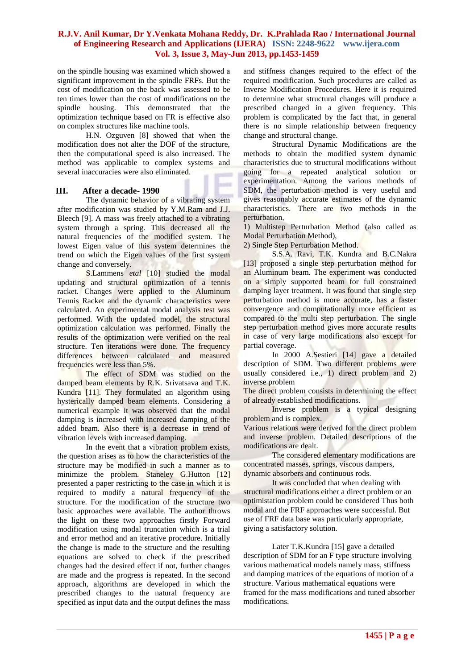on the spindle housing was examined which showed a significant improvement in the spindle FRFs. But the cost of modification on the back was assessed to be ten times lower than the cost of modifications on the spindle housing. This demonstrated that the optimization technique based on FR is effective also on complex structures like machine tools.

H.N. Ozguven [8] showed that when the modification does not alter the DOF of the structure, then the computational speed is also increased. The method was applicable to complex systems and several inaccuracies were also eliminated.

#### **III. After a decade- 1990**

The dynamic behavior of a vibrating system after modification was studied by Y.M.Ram and J.J. Bleech [9]. A mass was freely attached to a vibrating system through a spring. This decreased all the natural frequencies of the modified system. The lowest Eigen value of this system determines the trend on which the Eigen values of the first system change and conversely.

S.Lammens *etal* [10] studied the modal updating and structural optimization of a tennis racket. Changes were applied to the Aluminum Tennis Racket and the dynamic characteristics were calculated. An experimental modal analysis test was performed. With the updated model, the structural optimization calculation was performed. Finally the results of the optimization were verified on the real structure. Ten iterations were done. The frequency differences between calculated and measured frequencies were less than 5%.

The effect of SDM was studied on the damped beam elements by R.K. Srivatsava and T.K. Kundra [11]. They formulated an algorithm using hysterically damped beam elements. Considering a numerical example it was observed that the modal damping is increased with increased damping of the added beam. Also there is a decrease in trend of vibration levels with increased damping.

In the event that a vibration problem exists, the question arises as to how the characteristics of the structure may be modified in such a manner as to minimize the problem. Staneley G.Hutton [12] presented a paper restricting to the case in which it is required to modify a natural frequency of the structure. For the modification of the structure two basic approaches were available. The author throws the light on these two approaches firstly Forward modification using modal truncation which is a trial and error method and an iterative procedure. Initially the change is made to the structure and the resulting equations are solved to check if the prescribed changes had the desired effect if not, further changes are made and the progress is repeated. In the second approach, algorithms are developed in which the prescribed changes to the natural frequency are specified as input data and the output defines the mass

and stiffness changes required to the effect of the required modification. Such procedures are called as Inverse Modification Procedures. Here it is required to determine what structural changes will produce a prescribed changed in a given frequency. This problem is complicated by the fact that, in general there is no simple relationship between frequency change and structural change.

Structural Dynamic Modifications are the methods to obtain the modified system dynamic characteristics due to structural modifications without going for a repeated analytical solution or experimentation. Among the various methods of SDM, the perturbation method is very useful and gives reasonably accurate estimates of the dynamic characteristics. There are two methods in the perturbation,

1) Multistep Perturbation Method (also called as Modal Perturbation Method),

2) Single Step Perturbation Method.

S.S.A. Ravi, T.K. Kundra and B.C.Nakra [13] proposed a single step perturbation method for an Aluminum beam. The experiment was conducted on a simply supported beam for full constrained damping layer treatment. It was found that single step perturbation method is more accurate, has a faster convergence and computationally more efficient as compared to the multi step perturbation. The single step perturbation method gives more accurate results in case of very large modifications also except for partial coverage.

In 2000 A.Sestieri [14] gave a detailed description of SDM. Two different problems were usually considered i.e., 1) direct problem and 2) inverse problem

The direct problem consists in determining the effect of already established modifications.

Inverse problem is a typical designing problem and is complex.

Various relations were derived for the direct problem and inverse problem. Detailed descriptions of the modifications are dealt.

The considered elementary modifications are concentrated masses, springs, viscous dampers, dynamic absorbers and continuous rods.

It was concluded that when dealing with structural modifications either a direct problem or an optimistation problem could be considered Thus both modal and the FRF approaches were successful. But use of FRF data base was particularly appropriate, giving a satisfactory solution.

Later T.K.Kundra [15] gave a detailed description of SDM for an F type structure involving various mathematical models namely mass, stiffness and damping matrices of the equations of motion of a structure. Various mathematical equations were framed for the mass modifications and tuned absorber modifications.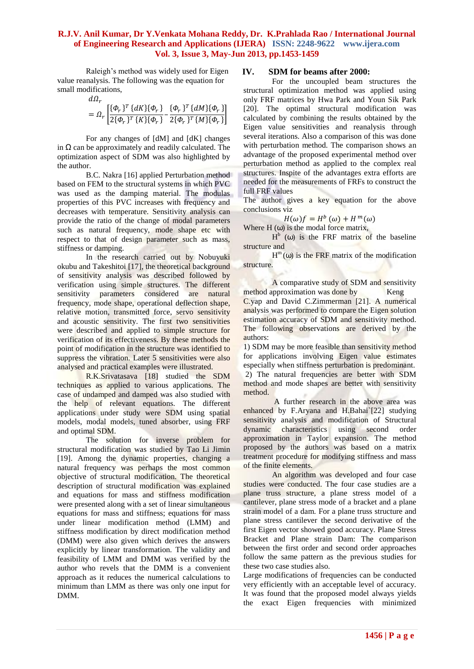Raleigh's method was widely used for Eigen value reanalysis. The following was the equation for small modifications,

$$
d\varOmega
$$

$$
= \Omega_r \left[ \frac{\{\Phi_r\}^T \{dK\} \{\Phi_r\}}{2\{\Phi_r\}^T \{K\} \{\Phi_r\}} - \frac{\{\Phi_r\}^T \{dM\} \{\Phi_r\}}{2\{\Phi_r\}^T \{M\} \{\Phi_r\}} \right]
$$

For any changes of [dM] and [dK] changes in Ω can be approximately and readily calculated. The optimization aspect of SDM was also highlighted by the author.

B.C. Nakra [16] applied Perturbation method based on FEM to the structural systems in which PVC was used as the damping material. The modulas properties of this PVC increases with frequency and decreases with temperature. Sensitivity analysis can provide the ratio of the change of modal parameters such as natural frequency, mode shape etc with respect to that of design parameter such as mass, stiffness or damping.

In the research carried out by Nobuyuki okubu and Takeshitoi [17], the theoretical background of sensitivity analysis was described followed by verification using simple structures. The different sensitivity parameters considered are natural frequency, mode shape, operational deflection shape, relative motion, transmitted force, servo sensitivity and acoustic sensitivity. The first two sensitivities were described and applied to simple structure for verification of its effectiveness. By these methods the point of modification in the structure was identified to suppress the vibration. Later 5 sensitivities were also analysed and practical examples were illustrated.

R.K.Srivatasava [18] studied the SDM techniques as applied to various applications. The case of undamped and damped was also studied with the help of relevant equations. The different applications under study were SDM using spatial models, modal models, tuned absorber, using FRF and optimal SDM.

The solution for inverse problem for structural modification was studied by Tao Li Jimin [19]. Among the dynamic properties, changing a natural frequency was perhaps the most common objective of structural modification. The theoretical description of structural modification was explained and equations for mass and stiffness modification were presented along with a set of linear simultaneous equations for mass and stiffness; equations for mass under linear modification method (LMM) and stiffness modification by direct modification method (DMM) were also given which derives the answers explicitly by linear transformation. The validity and feasibility of LMM and DMM was verified by the author who revels that the DMM is a convenient approach as it reduces the numerical calculations to minimum than LMM as there was only one input for DMM.

## **IV. SDM for beams after 2000:**

For the uncoupled beam structures the structural optimization method was applied using only FRF matrices by Hwa Park and Youn Sik Park [20]. The optimal structural modification was calculated by combining the results obtained by the Eigen value sensitivities and reanalysis through several iterations. Also a comparison of this was done with perturbation method. The comparison shows an advantage of the proposed experimental method over perturbation method as applied to the complex real structures. Inspite of the advantages extra efforts are needed for the measurements of FRFs to construct the full FRF values

The author gives a key equation for the above conclusions viz

$$
H(\omega)f = H^b(\omega) + H^m(\omega)
$$

Where  $H(\omega)$  is the modal force matrix,

 $H<sup>b</sup>$  (ω) is the FRF matrix of the baseline structure and

 $H^m(\omega)$  is the FRF matrix of the modification structure.

A comparative study of SDM and sensitivity method approximation was done by Keng C.yap and David C.Zimmerman [21]. A numerical analysis was performed to compare the Eigen solution estimation accuracy of SDM and sensitivity method. The following observations are derived by the authors:

1) SDM may be more feasible than sensitivity method for applications involving Eigen value estimates especially when stiffness perturbation is predominant. 2) The natural frequencies are better with SDM method and mode shapes are better with sensitivity method.

A further research in the above area was enhanced by F.Aryana and H.Bahai`[22] studying sensitivity analysis and modification of Structural dynamic characteristics using second order approximation in Taylor expansion. The method proposed by the authors was based on a matrix treatment procedure for modifying stiffness and mass of the finite elements.

An algorithm was developed and four case studies were conducted. The four case studies are a plane truss structure, a plane stress model of a cantilever, plane stress mode of a bracket and a plane strain model of a dam. For a plane truss structure and plane stress cantilever the second derivative of the first Eigen vector showed good accuracy. Plane Stress Bracket and Plane strain Dam: The comparison between the first order and second order approaches follow the same pattern as the previous studies for these two case studies also.

Large modifications of frequencies can be conducted very efficiently with an acceptable level of accuracy. It was found that the proposed model always yields the exact Eigen frequencies with minimized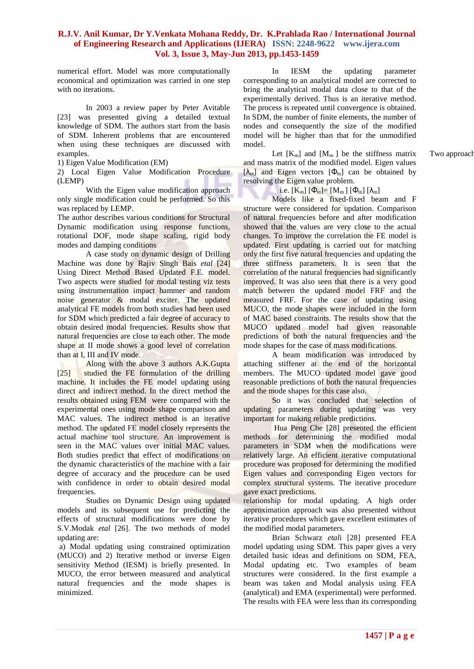numerical effort. Model was more computationally economical and optimization was carried in one step with no iterations.

In 2003 a review paper by Peter Avitable [23] was presented giving a detailed textual knowledge of SDM. The authors start from the basis of SDM. Inherent problems that are encountered when using these techniques are discussed with

1) Eigen Value Modification (EM)

2) Local Eigen Value Modification Procedure (LEMP)

With the Eigen value modification approach only single modification could be performed. So this was replaced by LEMP.

The author describes various conditions for Structural Dynamic modification using response functions, rotational DOF, mode shape scaling, rigid body modes and damping conditions

A case study on dynamic design of Drilling Machine was done by Rajiv Singh Bais *etal* [24] Using Direct Method Based Updated F.E. model. Two aspects were studied for modal testing viz tests using instrumentation impact hammer and random noise generator & modal exciter. The updated analytical FE models from both studies had been used for SDM which predicted a fair degree of accuracy to obtain desired modal frequencies. Results show that natural frequencies are close to each other. The mode shape at II mode shows a good level of correlation than at I, III and IV mode.

Along with the above 3 authors A.K.Gupta [25] studied the FE formulation of the drilling machine. It includes the FE model updating using direct and indirect method. In the direct method the results obtained using FEM were compared with the experimental ones using mode shape comparison and MAC values. The indirect method is an iterative method. The updated FE model closely represents the actual machine tool structure. An improvement is seen in the MAC values over initial MAC values. Both studies predict that effect of modifications on the dynamic characteristics of the machine with a fair degree of accuracy and the procedure can be used with confidence in order to obtain desired modal frequencies.

Studies on Dynamic Design using updated models and its subsequent use for predicting the effects of structural modifications were done by S.V.Modak *etal* [26]. The two methods of model updating are:

a) Modal updating using constrained optimization (MUCO) and 2) Iterative method or inverse Eigen sensitivity Method (IESM) is briefly presented. In MUCO, the error between measured and analytical natural frequencies and the mode shapes is minimized.

In IESM the updating parameter corresponding to an analytical model are corrected to bring the analytical modal data close to that of the experimentally derived. Thus is an iterative method. The process is repeated until convergence is obtained. In SDM, the number of finite elements, the number of nodes and consequently the size of the modified model will be higher than that for the unmodified model.

examples.  $\text{Let } [K_m]$  and  $[M_m]$  be the stiffness matrix  $\text{Two approach}$ and mass matrix of the modified model. Eigen values  $[\lambda_m]$  and Eigen vectors  $[\Phi_m]$  can be obtained by resolving the Eigen value problem.

i.e. 
$$
[K_m] [\Phi_m] = [M_m] [\Phi_m] [\lambda_m]
$$

Models like a fixed-fixed beam and F structure were considered for updation. Comparison of natural frequencies before and after modification showed that the values are very close to the actual changes. To improve the correlation the FE model is updated. First updating is carried out for matching only the first five natural frequencies and updating the three stiffness parameters. It is seen that the correlation of the natural frequencies had significantly improved. It was also seen that there is a very good match between the updated model FRF and the measured FRF. For the case of updating using MUCO, the mode shapes were included in the form of MAC based constraints. The results show that the MUCO updated model had given reasonable predictions of both the natural frequencies and the mode shapes for the case of mass modifications.

A beam modification was introduced by attaching stiffener at the end of the horizontal members. The MUCO updated model gave good reasonable predictions of both the natural frequencies and the mode shapes for this case also.

So it was concluded that selection of updating parameters during updating was very important for making reliable predictions.

Hua Peng Che [28] presented the efficient methods for determining the modified modal parameters in SDM when the modifications were relatively large. An efficient iterative computational procedure was proposed for determining the modified Eigen values and corresponding Eigen vectors for complex structural systems. The iterative procedure<br>gave exact predictions. gave exact predictions.

relationship for modal updating. A high order approximation approach was also presented without iterative procedures which gave excellent estimates of the modified modal parameters.

Brian Schwarz *etal*i [28] presented FEA model updating using SDM. This paper gives a very detailed basic ideas and definitions on SDM, FEA, Modal updating etc. Two examples of beam structures were considered. In the first example a beam was taken and Modal analysis using FEA (analytical) and EMA (experimental) were performed. The results with FEA were less than its corresponding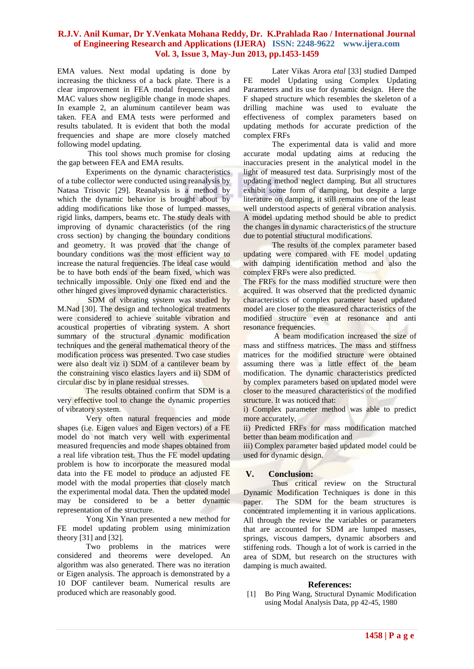EMA values. Next modal updating is done by increasing the thickness of a back plate. There is a clear improvement in FEA modal frequencies and MAC values show negligible change in mode shapes. In example 2, an aluminum cantilever beam was taken. FEA and EMA tests were performed and results tabulated. It is evident that both the modal frequencies and shape are more closely matched following model updating.

This tool shows much promise for closing the gap between FEA and EMA results.

Experiments on the dynamic characteristics of a tube collector were conducted using reanalysis by Natasa Trisovic [29]. Reanalysis is a method by which the dynamic behavior is brought about by adding modifications like those of lumped masses, rigid links, dampers, beams etc. The study deals with improving of dynamic characteristics (of the ring cross section) by changing the boundary conditions and geometry. It was proved that the change of boundary conditions was the most efficient way to increase the natural frequencies. The ideal case would be to have both ends of the beam fixed, which was technically impossible. Only one fixed end and the other hinged gives improved dynamic characteristics.

SDM of vibrating system was studied by M.Nad [30]. The design and technological treatments were considered to achieve suitable vibration and acoustical properties of vibrating system. A short summary of the structural dynamic modification techniques and the general mathematical theory of the modification process was presented. Two case studies were also dealt viz i) SDM of a cantilever beam by the constraining visco elastics layers and ii) SDM of circular disc by in plane residual stresses.

The results obtained confirm that SDM is a very effective tool to change the dynamic properties of vibratory system.

Very often natural frequencies and mode shapes (i.e. Eigen values and Eigen vectors) of a FE model do not match very well with experimental measured frequencies and mode shapes obtained from a real life vibration test. Thus the FE model updating problem is how to incorporate the measured modal data into the FE model to produce an adjusted FE model with the modal properties that closely match the experimental modal data. Then the updated model may be considered to be a better dynamic representation of the structure.

Yong Xin Ynan presented a new method for FE model updating problem using minimization theory [31] and [32].

Two problems in the matrices were considered and theorems were developed. An algorithm was also generated. There was no iteration or Eigen analysis. The approach is demonstrated by a 10 DOF cantilever beam. Numerical results are produced which are reasonably good.

Later Vikas Arora *etal* [33] studied Damped FE model Updating using Complex Updating Parameters and its use for dynamic design. Here the F shaped structure which resembles the skeleton of a drilling machine was used to evaluate the effectiveness of complex parameters based on updating methods for accurate prediction of the complex FRFs

The experimental data is valid and more accurate modal updating aims at reducing the inaccuracies present in the analytical model in the light of measured test data. Surprisingly most of the updating method neglect damping. But all structures exhibit some form of damping, but despite a large literature on damping, it still remains one of the least well understood aspects of general vibration analysis. A model updating method should be able to predict the changes in dynamic characteristics of the structure due to potential structural modifications.

The results of the complex parameter based updating were compared with FE model updating with damping identification method and also the complex FRFs were also predicted.

The FRFs for the mass modified structure were then acquired. It was observed that the predicted dynamic characteristics of complex parameter based updated model are closer to the measured characteristics of the modified structure even at resonance and anti resonance frequencies.

A beam modification increased the size of mass and stiffness matrices. The mass and stiffness matrices for the modified structure were obtained assuming there was a little effect of the beam modification. The dynamic characteristics predicted by complex parameters based on updated model were closer to the measured characteristics of the modified structure. It was noticed that:

i) Complex parameter method was able to predict more accurately,

ii) Predicted FRFs for mass modification matched better than beam modification and

iii) Complex parameter based updated model could be used for dynamic design.

## **V. Conclusion:**

Thus critical review on the Structural Dynamic Modification Techniques is done in this paper. The SDM for the beam structures is concentrated implementing it in various applications. All through the review the variables or parameters that are accounted for SDM are lumped masses, springs, viscous dampers, dynamic absorbers and stiffening rods. Though a lot of work is carried in the area of SDM, but research on the structures with damping is much awaited.

#### **References:**

[1] Bo Ping Wang, Structural Dynamic Modification using Modal Analysis Data, pp 42-45, 1980